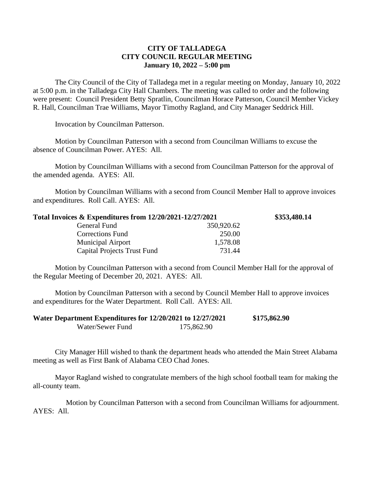## **CITY OF TALLADEGA CITY COUNCIL REGULAR MEETING January 10, 2022 – 5:00 pm**

The City Council of the City of Talladega met in a regular meeting on Monday, January 10, 2022 at 5:00 p.m. in the Talladega City Hall Chambers. The meeting was called to order and the following were present: Council President Betty Spratlin, Councilman Horace Patterson, Council Member Vickey R. Hall, Councilman Trae Williams, Mayor Timothy Ragland, and City Manager Seddrick Hill.

Invocation by Councilman Patterson.

Motion by Councilman Patterson with a second from Councilman Williams to excuse the absence of Councilman Power. AYES: All.

Motion by Councilman Williams with a second from Councilman Patterson for the approval of the amended agenda. AYES: All.

Motion by Councilman Williams with a second from Council Member Hall to approve invoices and expenditures. Roll Call. AYES: All.

| Total Invoices & Expenditures from 12/20/2021-12/27/2021 |            | \$353,480.14 |
|----------------------------------------------------------|------------|--------------|
| General Fund                                             | 350,920.62 |              |
| <b>Corrections Fund</b>                                  | 250.00     |              |
| <b>Municipal Airport</b>                                 | 1,578.08   |              |
| Capital Projects Trust Fund                              | 731.44     |              |

Motion by Councilman Patterson with a second from Council Member Hall for the approval of the Regular Meeting of December 20, 2021. AYES: All.

Motion by Councilman Patterson with a second by Council Member Hall to approve invoices and expenditures for the Water Department. Roll Call. AYES: All.

| Water Department Expenditures for 12/20/2021 to 12/27/2021 |            | \$175,862.90 |
|------------------------------------------------------------|------------|--------------|
| Water/Sewer Fund                                           | 175,862.90 |              |

City Manager Hill wished to thank the department heads who attended the Main Street Alabama meeting as well as First Bank of Alabama CEO Chad Jones.

Mayor Ragland wished to congratulate members of the high school football team for making the all-county team.

Motion by Councilman Patterson with a second from Councilman Williams for adjournment. AYES: All.